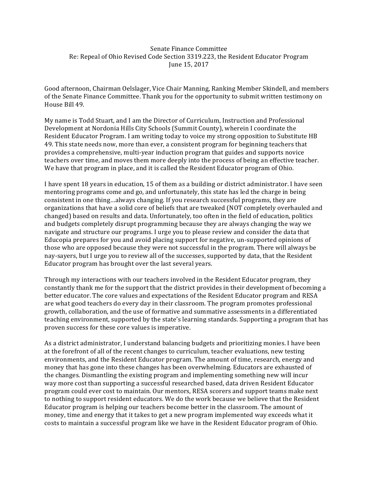Senate Finance Committee Re: Repeal of Ohio Revised Code Section 3319.223, the Resident Educator Program June 15, 2017

Good afternoon, Chairman Oelslager, Vice Chair Manning, Ranking Member Skindell, and members of the Senate Finance Committee. Thank you for the opportunity to submit written testimony on House Bill 49.

My name is Todd Stuart, and I am the Director of Curriculum, Instruction and Professional Development at Nordonia Hills City Schools (Summit County), wherein I coordinate the Resident Educator Program. I am writing today to voice my strong opposition to Substitute HB 49. This state needs now, more than ever, a consistent program for beginning teachers that provides a comprehensive, multi-year induction program that guides and supports novice teachers over time, and moves them more deeply into the process of being an effective teacher. We have that program in place, and it is called the Resident Educator program of Ohio.

I have spent 18 years in education, 15 of them as a building or district administrator. I have seen mentoring programs come and go, and unfortunately, this state has led the charge in being consistent in one thing...always changing. If you research successful programs, they are organizations that have a solid core of beliefs that are tweaked (NOT completely overhauled and changed) based on results and data. Unfortunately, too often in the field of education, politics and budgets completely disrupt programming because they are always changing the way we navigate and structure our programs. I urge you to please review and consider the data that Educopia prepares for you and avoid placing support for negative, un-supported opinions of those who are opposed because they were not successful in the program. There will always be nay-sayers, but I urge you to review all of the successes, supported by data, that the Resident Educator program has brought over the last several years.

Through my interactions with our teachers involved in the Resident Educator program, they constantly thank me for the support that the district provides in their development of becoming a better educator. The core values and expectations of the Resident Educator program and RESA are what good teachers do every day in their classroom. The program promotes professional growth, collaboration, and the use of formative and summative assessments in a differentiated teaching environment, supported by the state's learning standards. Supporting a program that has proven success for these core values is imperative.

As a district administrator, I understand balancing budgets and prioritizing monies. I have been at the forefront of all of the recent changes to curriculum, teacher evaluations, new testing environments, and the Resident Educator program. The amount of time, research, energy and money that has gone into these changes has been overwhelming. Educators are exhausted of the changes. Dismantling the existing program and implementing something new will incur way more cost than supporting a successful researched based, data driven Resident Educator program could ever cost to maintain. Our mentors, RESA scorers and support teams make next to nothing to support resident educators. We do the work because we believe that the Resident Educator program is helping our teachers become better in the classroom. The amount of money, time and energy that it takes to get a new program implemented way exceeds what it costs to maintain a successful program like we have in the Resident Educator program of Ohio.